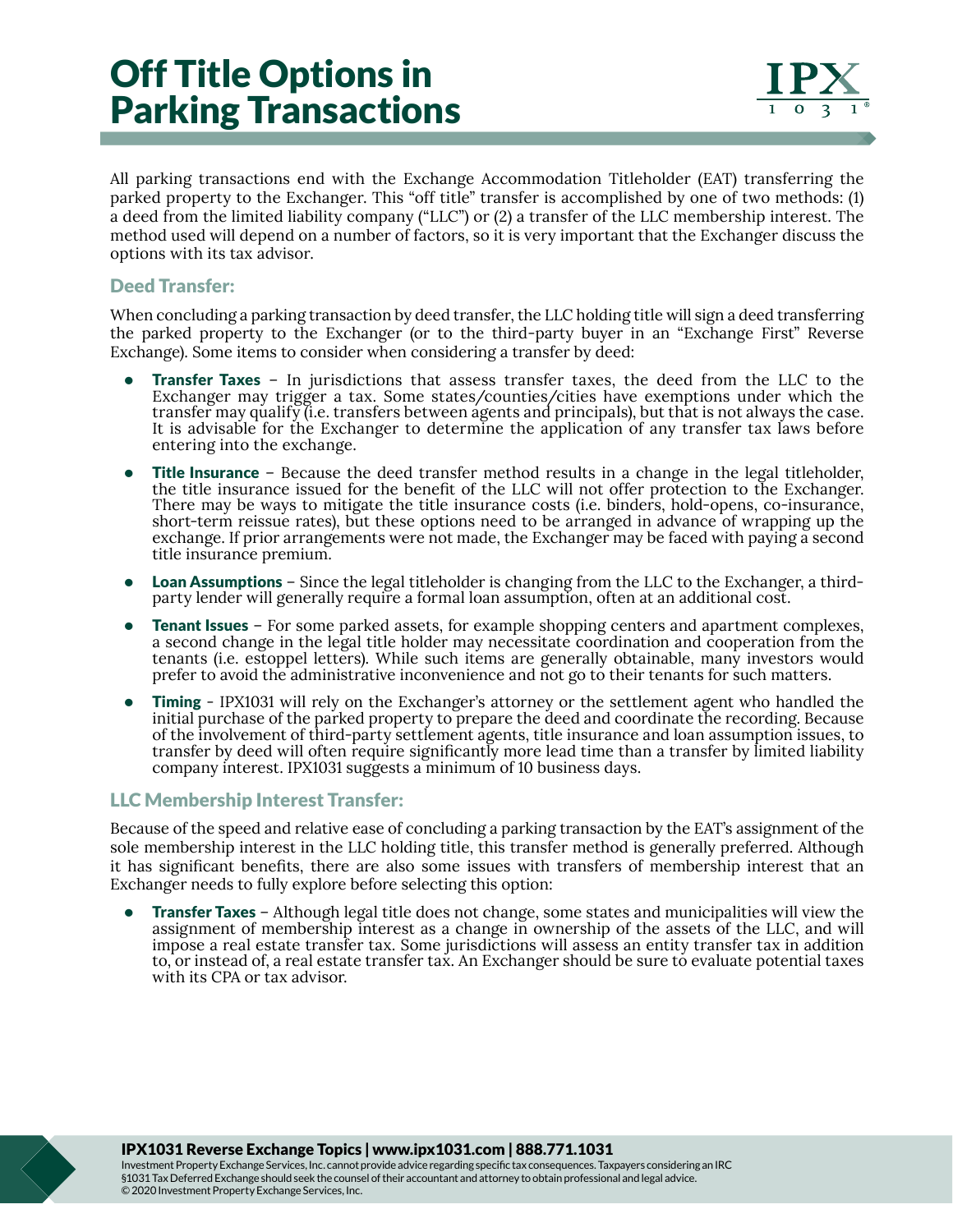## Off Title Options in Parking Transactions

All parking transactions end with the Exchange Accommodation Titleholder (EAT) transferring the parked property to the Exchanger. This "off title" transfer is accomplished by one of two methods: (1) a deed from the limited liability company ("LLC") or (2) a transfer of the LLC membership interest. The method used will depend on a number of factors, so it is very important that the Exchanger discuss the options with its tax advisor.

## Deed Transfer:

When concluding a parking transaction by deed transfer, the LLC holding title will sign a deed transferring the parked property to the Exchanger (or to the third-party buyer in an "Exchange First" Reverse Exchange). Some items to consider when considering a transfer by deed:

- **Transfer Taxes** In jurisdictions that assess transfer taxes, the deed from the LLC to the Exchanger may trigger a tax. Some states/counties/cities have exemptions under which the transfer may qualify (i.e. transfers between agents and principals), but that is not always the case. It is advisable for the Exchanger to determine the application of any transfer tax laws before entering into the exchange.
- Title Insurance Because the deed transfer method results in a change in the legal titleholder, the title insurance issued for the benefit of the LLC will not offer protection to the Exchanger. There may be ways to mitigate the title insurance costs (i.e. binders, hold-opens, co-insurance, short-term reissue rates), but these options need to be arranged in advance of wrapping up the exchange. If prior arrangements were not made, the Exchanger may be faced with paying a second title insurance premium.
- Loan Assumptions Since the legal titleholder is changing from the LLC to the Exchanger, a thirdparty lender will generally require a formal loan assumption, often at an additional cost.
- Tenant Issues For some parked assets, for example shopping centers and apartment complexes, a second change in the legal title holder may necessitate coordination and cooperation from the tenants (i.e. estoppel letters). While such items are generally obtainable, many investors would prefer to avoid the administrative inconvenience and not go to their tenants for such matters.
- **Timing** IPX1031 will rely on the Exchanger's attorney or the settlement agent who handled the initial purchase of the parked property to prepare the deed and coordinate the recording. Because of the involvement of third-party settlement agents, title insurance and loan assumption issues, to transfer by deed will often require significantly more lead time than a transfer by limited liability company interest. IPX1031 suggests a minimum of 10 business days.

## LLC Membership Interest Transfer:

Because of the speed and relative ease of concluding a parking transaction by the EAT's assignment of the sole membership interest in the LLC holding title, this transfer method is generally preferred. Although it has significant benefits, there are also some issues with transfers of membership interest that an Exchanger needs to fully explore before selecting this option:

• **Transfer Taxes** – Although legal title does not change, some states and municipalities will view the assignment of membership interest as a change in ownership of the assets of the LLC, and will impose a real estate transfer tax. Some jurisdictions will assess an entity transfer tax in addition to, or instead of, a real estate transfer tax. An Exchanger should be sure to evaluate potential taxes with its CPA or tax advisor.

IPX1031 Reverse Exchange Topics | www.ipx1031.com | 888.771.1031

Investment Property Exchange Services, Inc. cannot provide advice regarding specific tax consequences. Taxpayers considering an IRC §1031 Tax Deferred Exchange should seek the counsel of their accountant and attorney to obtain professional and legal advice. © 2020 Investment Property Exchange Services, Inc.